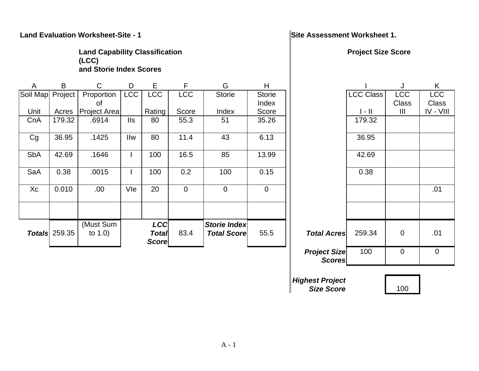## **Land Evaluation Worksheet-Site - 1** Number 2012 1 Site Assessment Worksheet 1.

**Land Capability Classification (LCC) and Storie Index Scores** 

| A          | B                    | C                       | D          | E.                                  | F              | G                                         | H              |                    |                           | J              | K            |
|------------|----------------------|-------------------------|------------|-------------------------------------|----------------|-------------------------------------------|----------------|--------------------|---------------------------|----------------|--------------|
| Soil Map   | Project              | Proportion              | <b>LCC</b> | <b>LCC</b>                          | <b>LCC</b>     | <b>Storie</b>                             | <b>Storie</b>  |                    | <b>LCC Class</b>          | <b>LCC</b>     | <b>LCC</b>   |
|            |                      | 0f                      |            |                                     |                |                                           | Index          |                    |                           | <b>Class</b>   | <b>Class</b> |
| Unit       | Acres                | <b>Project Area</b>     |            | Rating                              | Score          | Index                                     | Score          |                    | $\parallel$ - $\parallel$ | $\mathbf{III}$ | $IV - VIII$  |
| CnA        | 179.32               | .6914                   | <b>IIs</b> | 80                                  | 55.3           | 51                                        | 35.26          |                    | 179.32                    |                |              |
| Cg         | 36.95                | .1425                   | Ilw        | 80                                  | 11.4           | 43                                        | 6.13           |                    | 36.95                     |                |              |
| <b>SbA</b> | 42.69                | .1646                   |            | 100                                 | 16.5           | 85                                        | 13.99          |                    | 42.69                     |                |              |
| SaA        | 0.38                 | .0015                   |            | 100                                 | 0.2            | 100                                       | 0.15           |                    | 0.38                      |                |              |
| Xc         | 0.010                | .00.                    | Vle        | 20                                  | $\overline{0}$ | $\mathbf 0$                               | $\overline{0}$ |                    |                           |                | .01          |
|            |                      |                         |            |                                     |                |                                           |                |                    |                           |                |              |
|            | <b>Totals</b> 259.35 | (Must Sum<br>to $1.0$ ) |            | <b>LCC</b><br><b>Total</b><br>Score | 83.4           | <b>Storie Index</b><br><b>Total Score</b> | 55.5           | <b>Total Acres</b> | 259.34                    | $\mathbf 0$    | .01          |

*Size Score*

### **Project Size Score**

|        | H             |                                      |                       |              | Κ            |
|--------|---------------|--------------------------------------|-----------------------|--------------|--------------|
|        | <b>Storie</b> |                                      | <b>LCC Class</b>      | <b>LCC</b>   | <b>LCC</b>   |
|        | Index         |                                      |                       | <b>Class</b> | <b>Class</b> |
|        | Score         |                                      | $\vert - \vert \vert$ | Ш            | IV - VIII    |
|        | 35.26         |                                      | 179.32                |              |              |
|        | 6.13          |                                      | 36.95                 |              |              |
|        | 13.99         |                                      | 42.69                 |              |              |
|        | 0.15          |                                      | 0.38                  |              |              |
|        | 0             |                                      |                       |              | .01          |
|        |               |                                      |                       |              |              |
| X<br>е | 55.5          | <b>Total Acres</b>                   | 259.34                | 0            | .01          |
|        |               | <b>Project Size</b><br><b>Scores</b> | 100                   | $\mathbf 0$  | $\mathbf 0$  |
|        |               | <b>Highest Project</b>               |                       |              |              |

100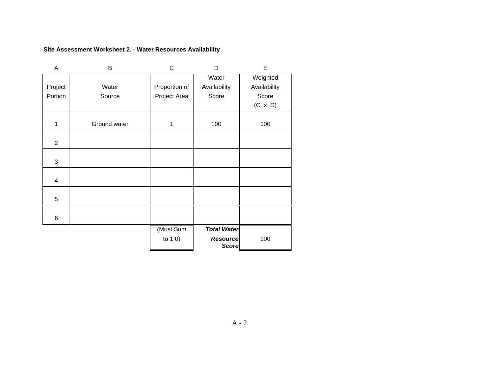### **Site Assessment Worksheet 2. - Water Resources Availability**

| A              | B            | С             | D                  | E              |
|----------------|--------------|---------------|--------------------|----------------|
|                |              |               | Water              | Weighted       |
| Project        | Water        | Proportion of | Availability       | Availability   |
| Portion        | Source       | Project Area  | Score              | Score          |
|                |              |               |                    | $(C \times D)$ |
|                |              |               |                    |                |
| 1              | Ground water | 1             | 100                | 100            |
|                |              |               |                    |                |
| $\overline{2}$ |              |               |                    |                |
|                |              |               |                    |                |
| 3              |              |               |                    |                |
|                |              |               |                    |                |
| 4              |              |               |                    |                |
|                |              |               |                    |                |
| 5              |              |               |                    |                |
|                |              |               |                    |                |
| 6              |              |               |                    |                |
|                |              | (Must Sum     | <b>Total Water</b> |                |
|                |              | to 1.0)       | <b>Resource</b>    | 100            |
|                |              |               | <b>Score</b>       |                |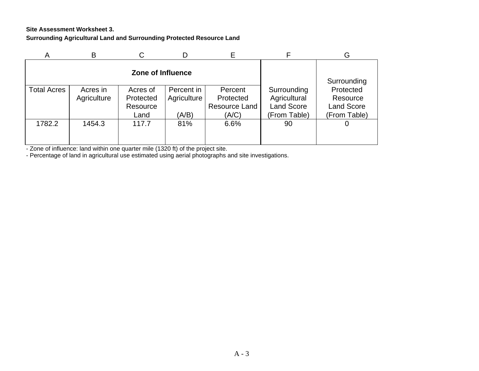### **Site Assessment Worksheet 3. Surrounding Agricultural Land and Surrounding Protected Resource Land**

| A                  | B                       |                       |                           |                      |                             | G                     |
|--------------------|-------------------------|-----------------------|---------------------------|----------------------|-----------------------------|-----------------------|
|                    |                         |                       | Surrounding               |                      |                             |                       |
| <b>Total Acres</b> | Acres in<br>Agriculture | Acres of<br>Protected | Percent in<br>Agriculture | Percent<br>Protected | Surrounding<br>Agricultural | Protected<br>Resource |
|                    |                         | Resource              |                           | Resource Land        | <b>Land Score</b>           | <b>Land Score</b>     |
|                    |                         | Land                  | (A/B)                     | (A/C)                | (From Table)                | (From Table)          |
| 1782.2             | 1454.3                  | 117.7                 | 81%                       | 6.6%                 | 90                          | Ő                     |
|                    |                         |                       |                           |                      |                             |                       |
|                    |                         |                       |                           |                      |                             |                       |

- Zone of influence: land within one quarter mile (1320 ft) of the project site.

- Percentage of land in agricultural use estimated using aerial photographs and site investigations.